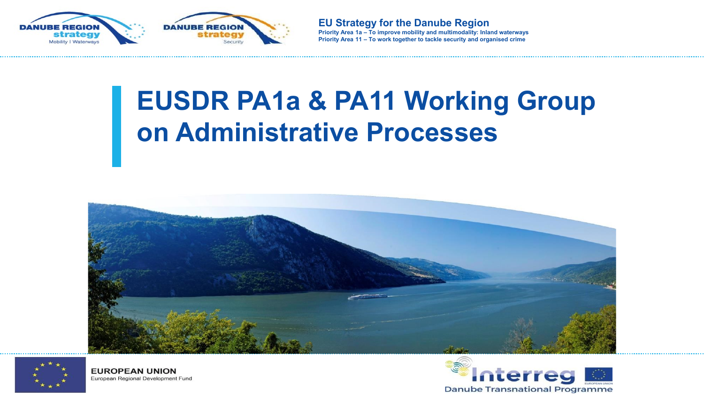

# **EUSDR PA1a & PA11 Working Group on Administrative Processes**







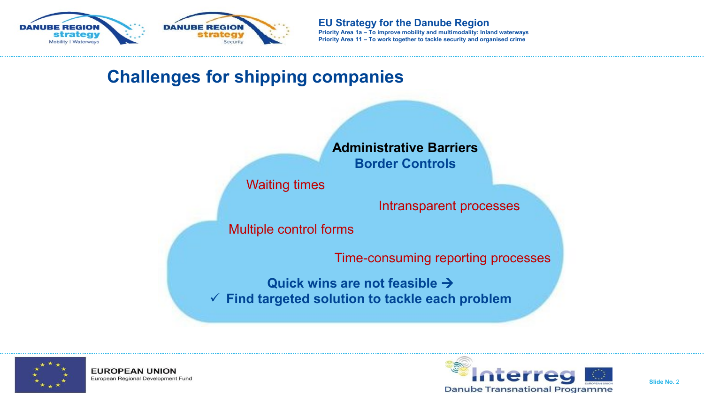

## **Challenges for shipping companies**



Waiting times

Intransparent processes

Multiple control forms

Time-consuming reporting processes

**Quick wins are not feasible** → ✓ **Find targeted solution to tackle each problem**



**EUROPEAN UNION** European Regional Development Fund

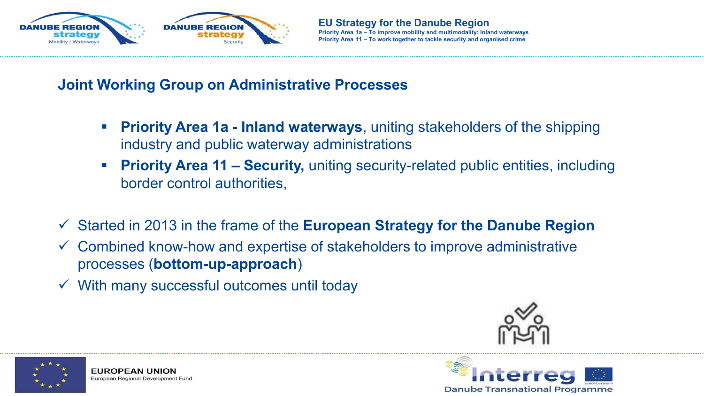

#### **Joint Working Group on Administrative Processes**

- **Priority Area 1a Inland waterways**, uniting stakeholders of the shipping industry and public waterway administrations
- **Priority Area 11 Security, uniting security-related public entities, including** border control authorities,
- ✓ Started in 2013 in the frame of the **European Strategy for the Danube Region**
- $\checkmark$  Combined know-how and expertise of stakeholders to improve administrative processes (**bottom-up-approach**)
- $\checkmark$  With many successful outcomes until today





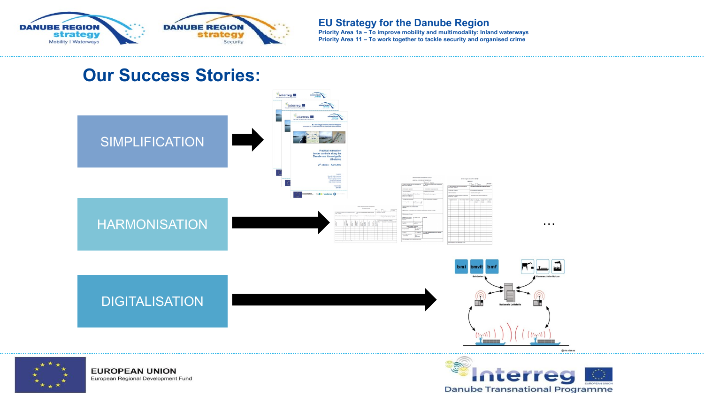

**EU Strategy for the Danube Region**

**Priority Area 1a – To improve mobility and multimodality: Inland waterways Priority Area 11 – To work together to tackle security and organised crime**

**Danube Transnational Programme** 

#### **Our Success Stories:**



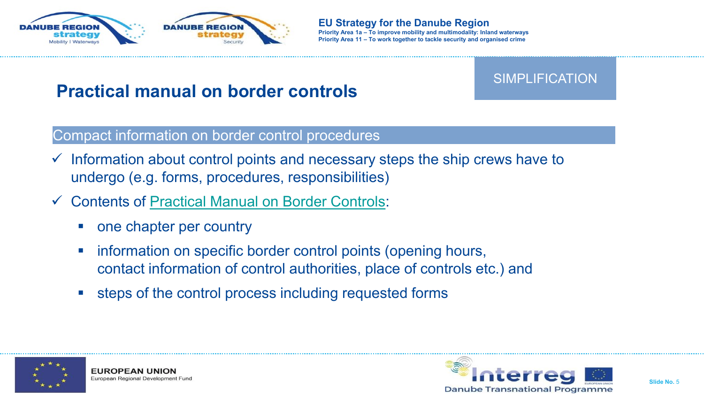

### **Practical manual on border controls**

#### Compact information on border control procedures

- $\checkmark$  Information about control points and necessary steps the ship crews have to undergo (e.g. forms, procedures, responsibilities)
- ✓ Contents of [Practical Manual on Border Controls:](https://navigation.danube-region.eu/working-groups/wg-6-administrative-processes/)
	- one chapter per country
	- **EXEDENT Information on specific border control points (opening hours,** contact information of control authorities, place of controls etc.) and
	- steps of the control process including requested forms



**EUROPEAN UNIO** European Regional Development Fund



SIMPLIFICATION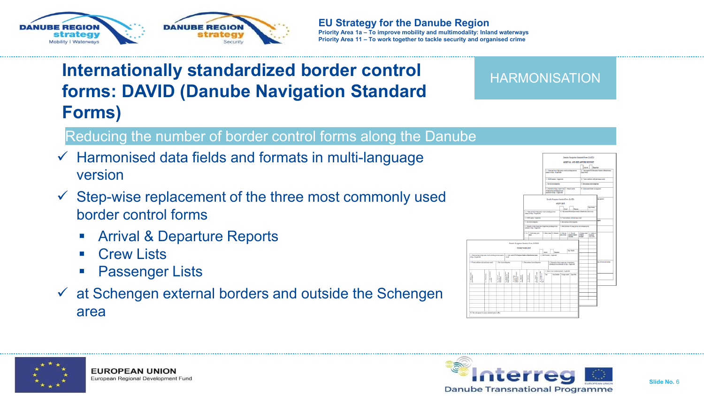



## **Internationally standardized border control forms: DAVID (Danube Navigation Standard Forms)**

#### Reducing the number of border control forms along the Danube

- $\checkmark$  Harmonised data fields and formats in multi-language version
- $\checkmark$  Step-wise replacement of the three most commonly used border control forms
	- **Arrival & Departure Reports**
	- Crew Lists
	- **Passenger Lists**
- $\checkmark$  at Schengen external borders and outside the Schengen area



**HARMONISATION** 



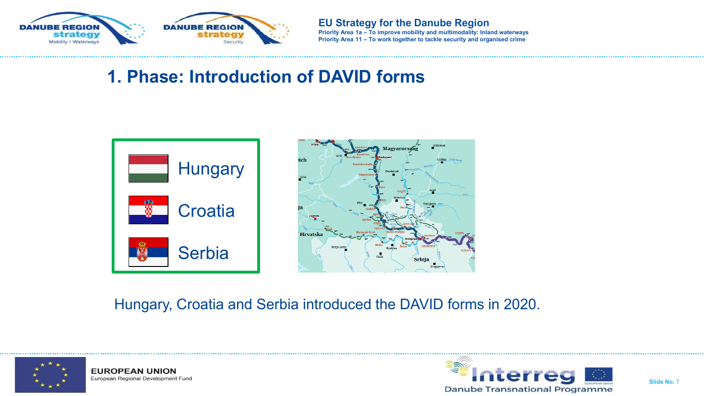

## **1. Phase: Introduction of DAVID forms**



Hungary, Croatia and Serbia introduced the DAVID forms in 2020.



**EUROPEAN UNION** European Regional Development Fund

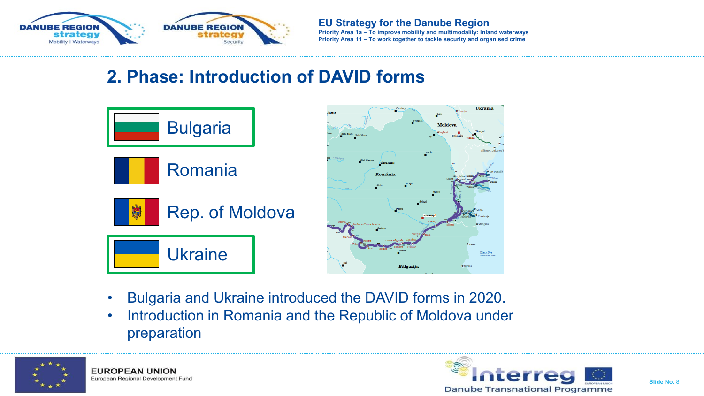

## **2. Phase: Introduction of DAVID forms**



- Bulgaria and Ukraine introduced the DAVID forms in 2020.
- Introduction in Romania and the Republic of Moldova under preparation



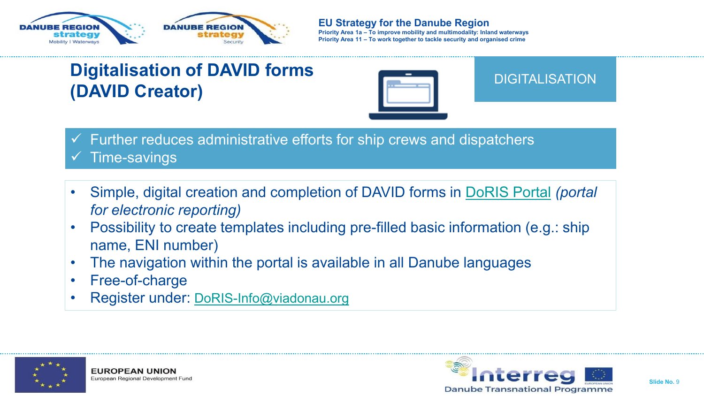



## **Digitalisation of DAVID forms (DAVID Creator)**



#### DIGITALISATION

- $\checkmark$  Further reduces administrative efforts for ship crews and dispatchers Time-savings
- Simple, digital creation and completion of DAVID forms in [DoRIS Portal](https://portal.doris-info.at/IRIS_WEB/) *(portal for electronic reporting)*
- Possibility to create templates including pre-filled basic information (e.g.: ship name, ENI number)
- The navigation within the portal is available in all Danube languages
- Free-of-charge
- Register under: [DoRIS-Info@viadonau.org](mailto:doris-info@viadonau.org)



**EUROPEAN UNION** European Regional Development Fund

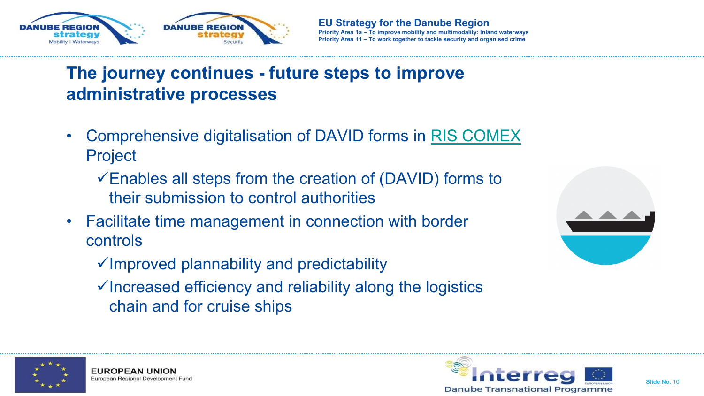

## **The journey continues - future steps to improve administrative processes**

- Comprehensive digitalisation of DAVID forms in [RIS COMEX](https://www.riscomex.eu/) Project
	- $\checkmark$  Enables all steps from the creation of (DAVID) forms to their submission to control authorities
- Facilitate time management in connection with border controls

- ✓Improved plannability and predictability
- ✓Increased efficiency and reliability along the logistics chain and for cruise ships